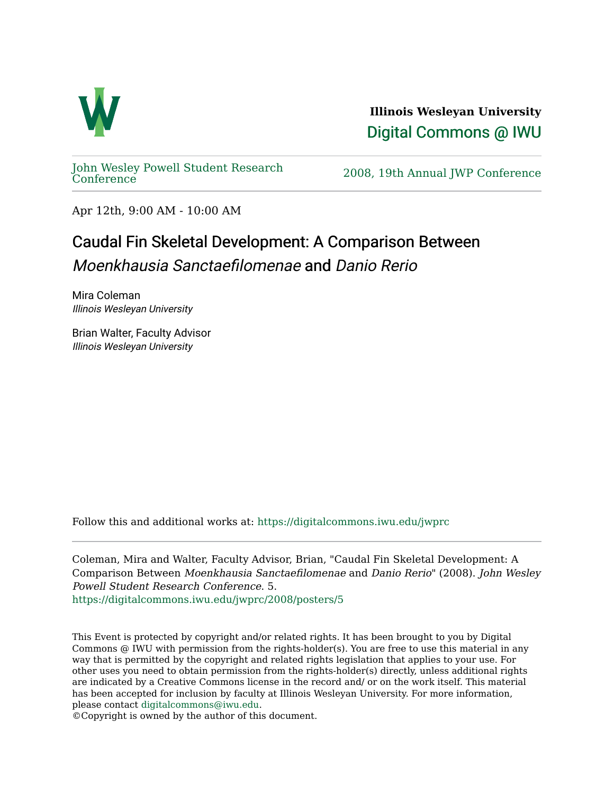

**Illinois Wesleyan University**  [Digital Commons @ IWU](https://digitalcommons.iwu.edu/) 

[John Wesley Powell Student Research](https://digitalcommons.iwu.edu/jwprc) 

2008, 19th Annual JWP [Conference](https://digitalcommons.iwu.edu/jwprc)

Apr 12th, 9:00 AM - 10:00 AM

## Caudal Fin Skeletal Development: A Comparison Between Moenkhausia Sanctaefilomenae and Danio Rerio

Mira Coleman Illinois Wesleyan University

Brian Walter, Faculty Advisor Illinois Wesleyan University

Follow this and additional works at: [https://digitalcommons.iwu.edu/jwprc](https://digitalcommons.iwu.edu/jwprc?utm_source=digitalcommons.iwu.edu%2Fjwprc%2F2008%2Fposters%2F5&utm_medium=PDF&utm_campaign=PDFCoverPages) 

Coleman, Mira and Walter, Faculty Advisor, Brian, "Caudal Fin Skeletal Development: A Comparison Between Moenkhausia Sanctaefilomenae and Danio Rerio" (2008). John Wesley Powell Student Research Conference. 5. [https://digitalcommons.iwu.edu/jwprc/2008/posters/5](https://digitalcommons.iwu.edu/jwprc/2008/posters/5?utm_source=digitalcommons.iwu.edu%2Fjwprc%2F2008%2Fposters%2F5&utm_medium=PDF&utm_campaign=PDFCoverPages) 

This Event is protected by copyright and/or related rights. It has been brought to you by Digital Commons @ IWU with permission from the rights-holder(s). You are free to use this material in any way that is permitted by the copyright and related rights legislation that applies to your use. For other uses you need to obtain permission from the rights-holder(s) directly, unless additional rights are indicated by a Creative Commons license in the record and/ or on the work itself. This material has been accepted for inclusion by faculty at Illinois Wesleyan University. For more information, please contact [digitalcommons@iwu.edu.](mailto:digitalcommons@iwu.edu)

©Copyright is owned by the author of this document.